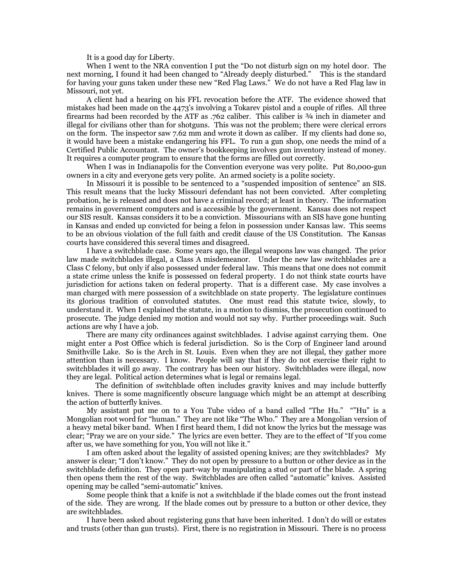It is a good day for Liberty.

When I went to the NRA convention I put the "Do not disturb sign on my hotel door. The next morning, I found it had been changed to "Already deeply disturbed." This is the standard for having your guns taken under these new "Red Flag Laws." We do not have a Red Flag law in Missouri, not yet.

A client had a hearing on his FFL revocation before the ATF. The evidence showed that mistakes had been made on the 4473's involving a Tokarev pistol and a couple of rifles. All three firearms had been recorded by the ATF as .762 caliber. This caliber is ¾ inch in diameter and illegal for civilians other than for shotguns. This was not the problem; there were clerical errors on the form. The inspector saw 7.62 mm and wrote it down as caliber. If my clients had done so, it would have been a mistake endangering his FFL. To run a gun shop, one needs the mind of a Certified Public Accountant. The owner's bookkeeping involves gun inventory instead of money. It requires a computer program to ensure that the forms are filled out correctly.

When I was in Indianapolis for the Convention everyone was very polite. Put 80,000-gun owners in a city and everyone gets very polite. An armed society is a polite society.

In Missouri it is possible to be sentenced to a "suspended imposition of sentence" an SIS. This result means that the lucky Missouri defendant has not been convicted. After completing probation, he is released and does not have a criminal record; at least in theory. The information remains in government computers and is accessible by the government. Kansas does not respect our SIS result. Kansas considers it to be a conviction. Missourians with an SIS have gone hunting in Kansas and ended up convicted for being a felon in possession under Kansas law. This seems to be an obvious violation of the full faith and credit clause of the US Constitution. The Kansas courts have considered this several times and disagreed.

I have a switchblade case. Some years ago, the illegal weapons law was changed. The prior law made switchblades illegal, a Class A misdemeanor. Under the new law switchblades are a Class C felony, but only if also possessed under federal law. This means that one does not commit a state crime unless the knife is possessed on federal property. I do not think state courts have jurisdiction for actions taken on federal property. That is a different case. My case involves a man charged with mere possession of a switchblade on state property. The legislature continues its glorious tradition of convoluted statutes. One must read this statute twice, slowly, to understand it. When I explained the statute, in a motion to dismiss, the prosecution continued to prosecute. The judge denied my motion and would not say why. Further proceedings wait. Such actions are why I have a job.

There are many city ordinances against switchblades. I advise against carrying them. One might enter a Post Office which is federal jurisdiction. So is the Corp of Engineer land around Smithville Lake. So is the Arch in St. Louis. Even when they are not illegal, they gather more attention than is necessary. I know. People will say that if they do not exercise their right to switchblades it will go away. The contrary has been our history. Switchblades were illegal, now they are legal. Political action determines what is legal or remains legal.

 The definition of switchblade often includes gravity knives and may include butterfly knives. There is some magnificently obscure language which might be an attempt at describing the action of butterfly knives.

My assistant put me on to a You Tube video of a band called "The Hu." ""Hu" is a Mongolian root word for "human." They are not like "The Who." They are a Mongolian version of a heavy metal biker band. When I first heard them, I did not know the lyrics but the message was clear; "Pray we are on your side." The lyrics are even better. They are to the effect of "If you come after us, we have something for you, You will not like it."

I am often asked about the legality of assisted opening knives; are they switchblades? My answer is clear; "I don't know." They do not open by pressure to a button or other device as in the switchblade definition. They open part-way by manipulating a stud or part of the blade. A spring then opens them the rest of the way. Switchblades are often called "automatic" knives. Assisted opening may be called "semi-automatic" knives.

Some people think that a knife is not a switchblade if the blade comes out the front instead of the side. They are wrong. If the blade comes out by pressure to a button or other device, they are switchblades.

I have been asked about registering guns that have been inherited. I don't do will or estates and trusts (other than gun trusts). First, there is no registration in Missouri. There is no process